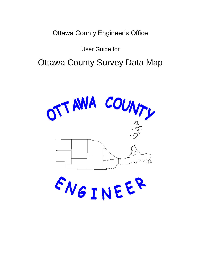Ottawa County Engineer's Office

User Guide for

Ottawa County Survey Data Map

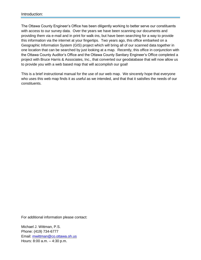The Ottawa County Engineer's Office has been diligently working to better serve our constituents with access to our survey data. Over the years we have been scanning our documents and providing them via e-mail and in print for walk-ins, but have been searching for a way to provide this information via the internet at your fingertips. Two years ago, this office embarked on a Geographic Information System (GIS) project which will bring all of our scanned data together in one location that can be searched by just looking at a map. Recently, this office in conjunction with the Ottawa County Auditor's Office and the Ottawa County Sanitary Engineer's Office completed a project with Bruce Harris & Associates, Inc., that converted our geodatabase that will now allow us to provide you with a web based map that will accomplish our goal!

This is a brief instructional manual for the use of our web map. We sincerely hope that everyone who uses this web map finds it as useful as we intended, and that that it satisfies the needs of our constituents.

For additional information please contact:

Michael J. Wittman, P.S. Phone: (419) 734-6777 Email: [mwittman@co.ottawa.oh.us](mailto:mwittman@co.ottawa.oh.us) Hours: 8:00 a.m. – 4:30 p.m.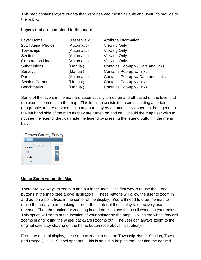This map contains layers of data that were deemed most valuable and useful to provide to the public.

### **Layers that are contained in this map:**

| Layer Name:              | Preset View: | Attribute Information:            |
|--------------------------|--------------|-----------------------------------|
| 2014 Aerial Photos       | (Automatic)  | <b>Viewing Only</b>               |
| Townships                | (Automatic)  | <b>Viewing Only</b>               |
| <b>Sections</b>          | (Automatic)  | <b>Viewing Only</b>               |
| <b>Corporation Lines</b> | (Automatic)  | <b>Viewing Only</b>               |
| Subdivisions             | (Manual)     | Contains Pop-up w/ Data and links |
| <b>Surveys</b>           | (Manual)     | Contains Pop-up w/ links          |
| Parcels                  | (Automatic)  | Contains Pop-up w/ Data and Links |
| <b>Section Corners</b>   | (Manual)     | Contains Pop-up w/ links          |
| <b>Benchmarks</b>        | (Manual)     | Contains Pop-up w/ links          |

Some of the layers in the map are automatically turned on and off based on the level that the user is zoomed into the map. This function assists the user in locating a certain geographic area while zooming in and out. Layers automatically appear in the legend on the left hand side of the map as they are turned on and off. Should the map user wish to not see the legend, they can hide the legend by pressing the legend button in the menu bar.



# **Using Zoom within the Map**

There are two ways to zoom in and out in the map. The first way is to use the  $+$  and  $$ buttons in the map (see above illustration). These buttons will allow the user to zoom in and out on a point fixed in the center of the display. You will need to drag the map to make the area you are looking for near the center of the display to effectively use this method. The other option for zooming in and out is to use the scroll wheel on your mouse. This option will zoom at the location of your pointer on the map. Rolling the wheel forward zooms in and rolling the wheel backwards zooms out. The user can always zoom to the original extent by clicking on the home button (see above illustration).

From the original display, the user can zoom in and the Township Name, Section, Town and Range (T-S-T-R) label appears. This is an aid in helping the user find the desired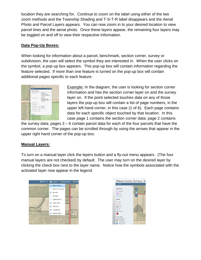location they are searching for. Continue to zoom on the label using either of the two zoom methods and the Township Shading and T-S-T-R label disappears and the Aerial Photo and Parcel Layers appears. You can now zoom in to your desired location to view parcel lines and the aerial photo. Once these layers appear, the remaining four layers may be toggled on and off to view their respective information.

# **Data Pop-Up Boxes:**

When looking for information about a parcel, benchmark, section corner, survey or subdivision, the user will select the symbol they are interested in. When the user clicks on the symbol, a pop-up box appears. This pop-up box will contain information regarding the feature selected. If more than one feature is turned on the pop-up box will contain additional pages specific to each feature.



 Example: In the diagram, the user is looking for section corner information and has the section corner layer on and the survey layer on. If the point selected touches data on any of those layers the pop-up box will contain a list of page numbers, in the upper left hand corner, in this case (1 of 6). Each page contains data for each specific object touched by that location. In this case page 1 contains the section corner data; page 2 contains

the survey data; pages 3 – 6 contain parcel data for each of the four parcels that have the common corner. The pages can be scrolled through by using the arrows that appear in the upper right hand corner of the pop-up box.

# **Manual Layers:**

To turn on a manual layer click the layers button and a fly-out menu appears. (The four manual layers are not checked) by default. The user may turn on the desired layer by clicking the check box next to the layer name. Notice how the symbols associated with the activated layer now appear in the legend.



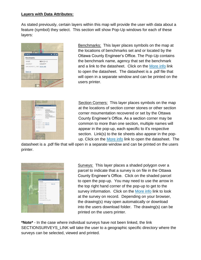### **Layers with Data Attributes:**

As stated previously, certain layers within this map will provide the user with data about a feature (symbol) they select. This section will show Pop-Up windows for each of these layers:



Benchmarks: This layer places symbols on the map at the locations of benchmarks set and or located by the Ottawa County Engineer's Office. The Pop-Up contains the benchmark name, agency that set the benchmark and a link to the datasheet. Click on the More info link to open the datasheet. The datasheet is a .pdf file that will open in a separate window and can be printed on the users printer.



Section Corners: This layer places symbols on the map at the locations of section corner stones or other section corner moumentation recovered or set by the Ottawa County Engineer's Office. As a section corner may be common to more than one section, multiple names will appear in the pop-up, each specific to it's respective section. Link(s) to the tie sheets also appear in the popup. Click on the More info link to open the datasheet. The

datasheet is a .pdf file that will open in a separate window and can be printed on the users printer.



Surveys: This layer places a shaded polygon over a parcel to indicate that a survey is on file in the Ottawa County Engineer's Office. Click on the shaded parcel to open the pop-up. You may need to use the arrow in the top right hand corner of the pop-up to get to the survey information. Click on the More info link to look at the survey on record. Depending on your browser, the drawing(s) may open automatically or download into the users download folder. The drawing(s) can be printed on the users printer.

**\*Note\*** - In the case where individual surveys have not been linked, the link SECTIONSURVEYS\_LINK will take the user to a geographic specific directory where the surveys can be selected, viewed and printed.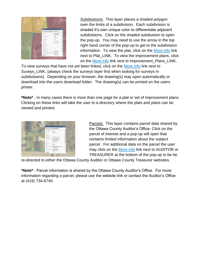

Subdivisions: This layer places a shaded polygon over the limits of a subdivision. Each subdivision is shaded it's own unique color to differentiate adjacent subdivisions. Click on the shaded subdivision to open the pop-up. You may need to use the arrow in the top right hand corner of the pop-up to get to the subdivision information. To view the plat, click on the More info link next to Plat\_LINK. To view the improvement plans, click on the More info link next to Improvement\_Plans\_LINK.

To view surveys that have not yet been linked, click on the More info link next to Suveys\_LINK, (always check the surveys layer first when looking for surveys in subdivisions). Depending on your browser, the drawing(s) may open automatically or download into the users download folder. The drawing(s) can be printed on the users printer.

**\*Note\*** - In many cases there is more than one page for a plat or set of improvement plans. Clicking on these links will take the user to a directory where the plats and plans can be viewed and printed.



Parcels: This layer contains parcel data shared by the Ottawa County Auditor's Office. Click on the parcel of interest and a pop-up will open that contains limited information about the subject parcel. For additional data on the parcel the user may click on the More info link next to AUDITOR or TREASURER at the bottom of the pop-up to be be

re-directed to either the Ottawa County Auditor or Ottawa County Treasurer websites.

**\*Note\*** - Parcel information is shared by the Ottawa County Auditor's Office. For more information regarding a parcel, please use the website link or contact the Auditor's Office at (419) 734-6740.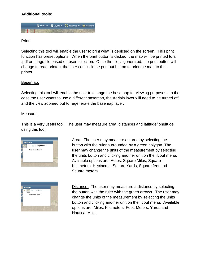### **Additional tools:**



### Print:

Selecting this tool will enable the user to print what is depicted on the screen. This print function has preset options. When the print button is clicked, the map will be printed to a .pdf or image file based on user selection. Once the file is generated, the print button will change to read printout the user can click the printout button to print the map to their printer.

#### Basemap:

Selecting this tool will enable the user to change the basemap for viewing purposes. In the case the user wants to use a different basemap, the Aerials layer will need to be turned off and the view zoomed out to regenerate the basemap layer.

#### Measure:

This is a very useful tool. The user may measure area, distances and latitude/longitude using this tool.



Area: The user may measure an area by selecting the button with the ruler surrounded by a green polygon. The user may change the units of the measurement by selecting the units button and clicking another unit on the flyout menu. Available options are: Acres, Square Miles, Square Kilometers, Hectacres, Square Yards, Square feet and Square meters.



Distance: The user may measaure a distance by selecting the button with the ruler with the green arrows. The user may change the units of the measurement by selecting the units button and clicking another unit on the flyout menu. Available options are: Miles, Kilometers, Feet, Meters, Yards and Nautical Miles.